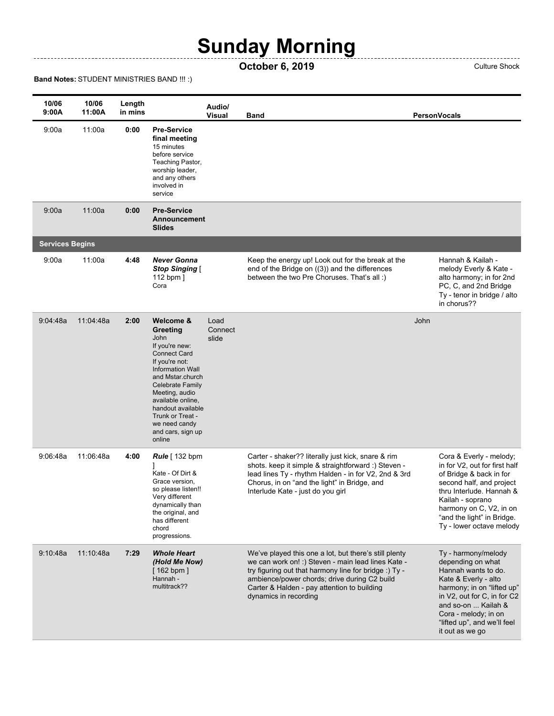## **Sunday Morning**

## **October 6, 2019** Culture Shock

## **Band Notes:** STUDENT MINISTRIES BAND !!! :)

--------------

| 10/06<br>9:00A         | 10/06<br>11:00A | Length<br>in mins |                                                                                                                                                                                                                                                                                                    | Audio/<br><b>Visual</b>  | Band                                                                                                                                                                                                                                                                                         |      | <b>PersonVocals</b>                                                                                                                                                                                                                                   |
|------------------------|-----------------|-------------------|----------------------------------------------------------------------------------------------------------------------------------------------------------------------------------------------------------------------------------------------------------------------------------------------------|--------------------------|----------------------------------------------------------------------------------------------------------------------------------------------------------------------------------------------------------------------------------------------------------------------------------------------|------|-------------------------------------------------------------------------------------------------------------------------------------------------------------------------------------------------------------------------------------------------------|
| 9:00a                  | 11:00a          | 0:00              | <b>Pre-Service</b><br>final meeting<br>15 minutes<br>before service<br>Teaching Pastor,<br>worship leader,<br>and any others<br>involved in<br>service                                                                                                                                             |                          |                                                                                                                                                                                                                                                                                              |      |                                                                                                                                                                                                                                                       |
| 9:00a                  | 11:00a          | 0:00              | <b>Pre-Service</b><br>Announcement<br><b>Slides</b>                                                                                                                                                                                                                                                |                          |                                                                                                                                                                                                                                                                                              |      |                                                                                                                                                                                                                                                       |
| <b>Services Begins</b> |                 |                   |                                                                                                                                                                                                                                                                                                    |                          |                                                                                                                                                                                                                                                                                              |      |                                                                                                                                                                                                                                                       |
| 9:00a                  | 11:00a          | 4:48              | <b>Never Gonna</b><br><b>Stop Singing [</b><br>112 bpm ]<br>Cora                                                                                                                                                                                                                                   |                          | Keep the energy up! Look out for the break at the<br>end of the Bridge on ((3)) and the differences<br>between the two Pre Choruses. That's all:)                                                                                                                                            |      | Hannah & Kailah -<br>melody Everly & Kate -<br>alto harmony; in for 2nd<br>PC, C, and 2nd Bridge<br>Ty - tenor in bridge / alto<br>in chorus??                                                                                                        |
| 9:04:48a               | 11:04:48a       | 2:00              | Welcome &<br>Greeting<br>John<br>If you're new:<br><b>Connect Card</b><br>If you're not:<br><b>Information Wall</b><br>and Mstar.church<br><b>Celebrate Family</b><br>Meeting, audio<br>available online,<br>handout available<br>Trunk or Treat -<br>we need candy<br>and cars, sign up<br>online | Load<br>Connect<br>slide |                                                                                                                                                                                                                                                                                              | John |                                                                                                                                                                                                                                                       |
| 9:06:48a               | 11:06:48a       | 4:00              | <b>Rule</b> [ 132 bpm<br>Kate - Of Dirt &<br>Grace version,<br>so please listen!!<br>Very different<br>dynamically than<br>the original, and<br>has different<br>chord<br>progressions.                                                                                                            |                          | Carter - shaker?? literally just kick, snare & rim<br>shots. keep it simple & straightforward :) Steven -<br>lead lines Ty - rhythm Halden - in for V2, 2nd & 3rd<br>Chorus, in on "and the light" in Bridge, and<br>Interlude Kate - just do you girl                                       |      | Cora & Everly - melody;<br>in for V2, out for first half<br>of Bridge & back in for<br>second half, and project<br>thru Interlude. Hannah &<br>Kailah - soprano<br>harmony on C, V2, in on<br>"and the light" in Bridge.<br>Ty - lower octave melody  |
| 9:10:48a               | 11:10:48a       | 7:29              | Whole Heart<br>(Hold Me Now)<br>$[162$ bpm ]<br>Hannah -<br>multitrack??                                                                                                                                                                                                                           |                          | We've played this one a lot, but there's still plenty<br>we can work on! :) Steven - main lead lines Kate -<br>try figuring out that harmony line for bridge :) Ty -<br>ambience/power chords; drive during C2 build<br>Carter & Halden - pay attention to building<br>dynamics in recording |      | Ty - harmony/melody<br>depending on what<br>Hannah wants to do.<br>Kate & Everly - alto<br>harmony; in on "lifted up"<br>in V2, out for C, in for C2<br>and so-on  Kailah &<br>Cora - melody; in on<br>"lifted up", and we'll feel<br>it out as we go |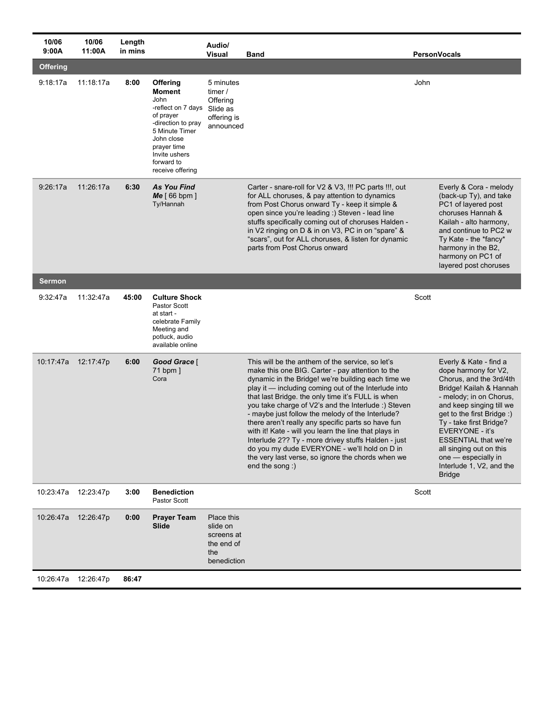| 10/06<br>9:00A  | 10/06<br>11:00A | Length<br>in mins |                                                                                                                                                                                              | Audio/<br>Visual                                                         | <b>Band</b>                                                                                                                                                                                                                                                                                                                                                                                                                                                                                                                                                                                                                                                                      | <b>PersonVocals</b>                                                                                                                                                                                                                                                                                                                                                   |
|-----------------|-----------------|-------------------|----------------------------------------------------------------------------------------------------------------------------------------------------------------------------------------------|--------------------------------------------------------------------------|----------------------------------------------------------------------------------------------------------------------------------------------------------------------------------------------------------------------------------------------------------------------------------------------------------------------------------------------------------------------------------------------------------------------------------------------------------------------------------------------------------------------------------------------------------------------------------------------------------------------------------------------------------------------------------|-----------------------------------------------------------------------------------------------------------------------------------------------------------------------------------------------------------------------------------------------------------------------------------------------------------------------------------------------------------------------|
| <b>Offering</b> |                 |                   |                                                                                                                                                                                              |                                                                          |                                                                                                                                                                                                                                                                                                                                                                                                                                                                                                                                                                                                                                                                                  |                                                                                                                                                                                                                                                                                                                                                                       |
| 9:18:17a        | 11:18:17a       | 8:00              | <b>Offering</b><br>Moment<br>John<br>-reflect on 7 days<br>of prayer<br>-direction to pray<br>5 Minute Timer<br>John close<br>prayer time<br>Invite ushers<br>forward to<br>receive offering | 5 minutes<br>timer /<br>Offering<br>Slide as<br>offering is<br>announced |                                                                                                                                                                                                                                                                                                                                                                                                                                                                                                                                                                                                                                                                                  | John                                                                                                                                                                                                                                                                                                                                                                  |
| 9:26:17a        | 11:26:17a       | 6:30              | <b>As You Find</b><br>$Me$ [ 66 bpm ]<br>Ty/Hannah                                                                                                                                           |                                                                          | Carter - snare-roll for V2 & V3, !!! PC parts !!!, out<br>for ALL choruses, & pay attention to dynamics<br>from Post Chorus onward Ty - keep it simple &<br>open since you're leading :) Steven - lead line<br>stuffs specifically coming out of choruses Halden -<br>in V2 ringing on D & in on V3, PC in on "spare" &<br>"scars", out for ALL choruses, & listen for dynamic<br>parts from Post Chorus onward                                                                                                                                                                                                                                                                  | Everly & Cora - melody<br>(back-up Ty), and take<br>PC1 of layered post<br>choruses Hannah &<br>Kailah - alto harmony,<br>and continue to PC2 w<br>Ty Kate - the *fancy*<br>harmony in the B2,<br>harmony on PC1 of<br>layered post choruses                                                                                                                          |
| <b>Sermon</b>   |                 |                   |                                                                                                                                                                                              |                                                                          |                                                                                                                                                                                                                                                                                                                                                                                                                                                                                                                                                                                                                                                                                  |                                                                                                                                                                                                                                                                                                                                                                       |
| 9:32:47a        | 11:32:47a       | 45:00             | <b>Culture Shock</b><br><b>Pastor Scott</b><br>at start -<br>celebrate Family<br>Meeting and<br>potluck, audio<br>available online                                                           |                                                                          |                                                                                                                                                                                                                                                                                                                                                                                                                                                                                                                                                                                                                                                                                  | Scott                                                                                                                                                                                                                                                                                                                                                                 |
| 10:17:47a       | 12:17:47p       | 6:00              | Good Grace [<br>71 bpm ]<br>Cora                                                                                                                                                             |                                                                          | This will be the anthem of the service, so let's<br>make this one BIG. Carter - pay attention to the<br>dynamic in the Bridge! we're building each time we<br>play it — including coming out of the Interlude into<br>that last Bridge. the only time it's FULL is when<br>you take charge of V2's and the Interlude :) Steven<br>- maybe just follow the melody of the Interlude?<br>there aren't really any specific parts so have fun<br>with it! Kate - will you learn the line that plays in<br>Interlude 2?? Ty - more drivey stuffs Halden - just<br>do you my dude EVERYONE - we'll hold on D in<br>the very last verse, so ignore the chords when we<br>end the song :) | Everly & Kate - find a<br>dope harmony for V2,<br>Chorus, and the 3rd/4th<br>Bridge! Kailah & Hannah<br>- melody; in on Chorus,<br>and keep singing till we<br>get to the first Bridge :)<br>Ty - take first Bridge?<br>EVERYONE - it's<br><b>ESSENTIAL that we're</b><br>all singing out on this<br>one - especially in<br>Interlude 1, V2, and the<br><b>Bridge</b> |
| 10:23:47a       | 12:23:47p       | 3:00              | <b>Benediction</b><br>Pastor Scott                                                                                                                                                           |                                                                          |                                                                                                                                                                                                                                                                                                                                                                                                                                                                                                                                                                                                                                                                                  | Scott                                                                                                                                                                                                                                                                                                                                                                 |
| 10:26:47a       | 12:26:47p       | 0:00              | <b>Prayer Team</b><br>Slide                                                                                                                                                                  | Place this<br>slide on<br>screens at<br>the end of<br>the<br>benediction |                                                                                                                                                                                                                                                                                                                                                                                                                                                                                                                                                                                                                                                                                  |                                                                                                                                                                                                                                                                                                                                                                       |
| 10:26:47a       | 12:26:47p       | 86:47             |                                                                                                                                                                                              |                                                                          |                                                                                                                                                                                                                                                                                                                                                                                                                                                                                                                                                                                                                                                                                  |                                                                                                                                                                                                                                                                                                                                                                       |